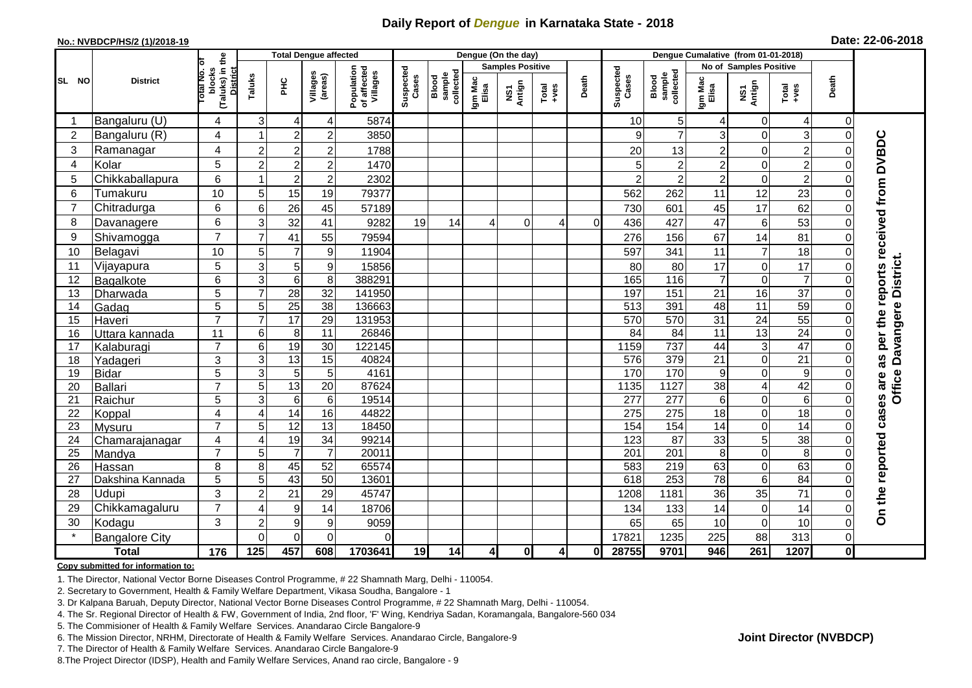## **Daily Report of** *Dengue* **in Karnataka State - 2018**

#### **No.: NVBDCP/HS/2 (1)/2018-19**

|  | Date: 22-06-2018 |  |  |
|--|------------------|--|--|
|--|------------------|--|--|

|                |                       |                                                              |                  | <b>Total Dengue affected</b> |                     |                                       |                    |                              |                  | Dengue (On the day)     |                |                |                    |                                     |                  |                        |                  |                |                                        |
|----------------|-----------------------|--------------------------------------------------------------|------------------|------------------------------|---------------------|---------------------------------------|--------------------|------------------------------|------------------|-------------------------|----------------|----------------|--------------------|-------------------------------------|------------------|------------------------|------------------|----------------|----------------------------------------|
|                |                       |                                                              |                  |                              |                     |                                       |                    |                              |                  | <b>Samples Positive</b> |                |                |                    |                                     |                  | No of Samples Positive |                  |                |                                        |
| SL NO          | <b>District</b>       | (Taluks) in the<br>Total No. of<br>blocks<br><b>District</b> | Taluks           | ĔБ                           | Villages<br>(areas) | Population<br>of affected<br>Villages | Suspected<br>Cases | sample<br>collected<br>Blood | Igm Mac<br>Elisa | NS1<br>Antign           | $Total$        | Death          | Suspected<br>Cases | collected<br><b>Blood</b><br>sample | Igm Mac<br>Elisa | NS1<br>Antign          | $Tota$<br>$+ves$ | Death          |                                        |
|                | Bangaluru (U)         | 4                                                            | 3                | 4                            | 4                   | 5874                                  |                    |                              |                  |                         |                |                | 10                 | 5 <sup>1</sup>                      | 4                | $\mathbf 0$            | 4                | $\mathbf 0$    |                                        |
| $\overline{2}$ | Bangaluru (R)         | 4                                                            |                  | $\overline{2}$               | $\overline{2}$      | 3850                                  |                    |                              |                  |                         |                |                | 9                  | $\overline{7}$                      | 3                | $\Omega$               | 3                | $\Omega$       |                                        |
| 3              | Ramanagar             | 4                                                            | $\overline{c}$   | $\mathbf 2$                  | $\overline{c}$      | 1788                                  |                    |                              |                  |                         |                |                | 20                 | 13                                  | $\overline{2}$   | $\mathbf 0$            | $\overline{2}$   | 0              | as per the reports received from DVBDC |
| 4              | Kolar                 | 5                                                            | $\overline{c}$   | $\overline{2}$               | $\overline{2}$      | 1470                                  |                    |                              |                  |                         |                |                |                    | $\overline{c}$                      | $\overline{2}$   | $\mathbf 0$            | $\overline{2}$   | 0              |                                        |
| 5              | Chikkaballapura       | 6                                                            | -1               | $\boldsymbol{2}$             | $\overline{c}$      | 2302                                  |                    |                              |                  |                         |                |                |                    | $\overline{c}$                      | $\overline{2}$   | $\mathbf 0$            | $\overline{2}$   | $\Omega$       |                                        |
| 6              | Tumakuru              | 10                                                           | 5                | 15                           | 19                  | 79377                                 |                    |                              |                  |                         |                |                | 562                | 262                                 | 11               | 12                     | 23               | 0              |                                        |
| $\overline{7}$ | Chitradurga           | 6                                                            | 6                | 26                           | 45                  | 57189                                 |                    |                              |                  |                         |                |                | 730                | 601                                 | 45               | $\overline{17}$        | 62               | 0              |                                        |
| 8              | Davanagere            | 6                                                            | 3                | $\overline{32}$              | 41                  | 9282                                  | 19                 | 14                           |                  | $\mathbf 0$             | 4              | $\overline{0}$ | 436                | 427                                 | 47               | $\,6$                  | 53               | 0              |                                        |
| 9              | Shivamogga            | $\overline{7}$                                               | $\overline{7}$   | 41                           | 55                  | 79594                                 |                    |                              |                  |                         |                |                | 276                | 156                                 | 67               | 14                     | 81               | 0              |                                        |
| 10             | Belagavi              | 10                                                           | 5                | $\overline{7}$               | 9                   | 11904                                 |                    |                              |                  |                         |                |                | 597                | 341                                 | 11               | $\overline{7}$         | 18               | $\Omega$       |                                        |
| 11             | Vijayapura            | 5                                                            | 3                | 5                            | 9                   | 15856                                 |                    |                              |                  |                         |                |                | 80                 | 80                                  | 17               | $\mathbf 0$            | 17               | $\Omega$       | Davangere District.                    |
| 12             | Bagalkote             | 6                                                            | $\overline{3}$   | $\overline{6}$               | 8                   | 388291                                |                    |                              |                  |                         |                |                | 165                | 116                                 | $\overline{7}$   | $\mathbf 0$            | $\overline{7}$   | $\Omega$       |                                        |
| 13             | Dharwada              | 5                                                            | $\overline{7}$   | $\overline{28}$              | $\overline{32}$     | 141950                                |                    |                              |                  |                         |                |                | 197                | 151                                 | 21               | 16                     | $\overline{37}$  | $\Omega$       |                                        |
| 14             | Gadag                 | $\overline{5}$                                               | 5                | 25                           | $\overline{38}$     | 136663                                |                    |                              |                  |                         |                |                | 513                | 391                                 | 48               | 11                     | 59               | $\Omega$       |                                        |
| 15             | Haveri                | $\overline{7}$                                               | $\overline{7}$   | 17                           | 29                  | 131953                                |                    |                              |                  |                         |                |                | 570                | 570                                 | 31               | 24                     | 55               | 0              |                                        |
| 16             | Uttara kannada        | 11                                                           | $6\phantom{1}6$  | 8                            | $\overline{11}$     | 26846                                 |                    |                              |                  |                         |                |                | 84                 | 84                                  | 11               | 13                     | 24               | 0              |                                        |
| 17             | Kalaburagi            | $\overline{7}$                                               | 6                | 19                           | 30                  | 122145                                |                    |                              |                  |                         |                |                | 1159               | 737                                 | 44               | $\mathbf{3}$           | 47               | 0              |                                        |
| 18             | Yadageri              | 3                                                            | 3                | 13                           | 15                  | 40824                                 |                    |                              |                  |                         |                |                | 576                | 379                                 | 21               | $\mathbf 0$            | 21               | $\Omega$       |                                        |
| 19             | <b>Bidar</b>          | 5                                                            | 3                | $\overline{5}$               | 5                   | 4161                                  |                    |                              |                  |                         |                |                | 170                | 170                                 | 9                | $\pmb{0}$              | $\boldsymbol{9}$ | 0              |                                        |
| 20             | <b>Ballari</b>        | $\overline{7}$                                               | 5                | 13                           | $\overline{20}$     | 87624                                 |                    |                              |                  |                         |                |                | 1135               | 1127                                | 38               | $\overline{4}$         | 42               | 0              | <b>Office</b>                          |
| 21             | Raichur               | 5                                                            | 3                | $\,6$                        | 6                   | 19514                                 |                    |                              |                  |                         |                |                | 277                | 277                                 | 6                | $\boldsymbol{0}$       | 6                | 0              |                                        |
| 22             | Koppal                | 4                                                            | 4                | 14                           | 16                  | 44822                                 |                    |                              |                  |                         |                |                | 275                | 275                                 | 18               | $\boldsymbol{0}$       | $\overline{18}$  | 0              | cases are                              |
| 23             | Mysuru                | $\overline{7}$                                               | 5                | 12                           | 13                  | 18450                                 |                    |                              |                  |                         |                |                | 154                | 154                                 | $\overline{14}$  | $\mathbf 0$            | 14               | $\Omega$       |                                        |
| 24             | Chamarajanagar        | 4                                                            | $\overline{4}$   | 19                           | $\overline{34}$     | 99214                                 |                    |                              |                  |                         |                |                | 123                | $\overline{87}$                     | 33               | 5                      | 38               | $\Omega$       |                                        |
| 25             | Mandya                | $\overline{7}$                                               | 5                | $\overline{7}$               | $\overline{7}$      | 20011                                 |                    |                              |                  |                         |                |                | $\overline{201}$   | $\overline{201}$                    | 8                | $\mathbf 0$            | 8                | $\Omega$       |                                        |
| 26             | Hassan                | 8                                                            | 8                | 45                           | 52                  | 65574                                 |                    |                              |                  |                         |                |                | 583                | 219                                 | 63               | $\mathbf 0$            | 63               | 0              |                                        |
| 27             | Dakshina Kannada      | 5                                                            | 5                | 43                           | 50                  | 13601                                 |                    |                              |                  |                         |                |                | 618                | 253                                 | 78               | $\overline{6}$         | 84               | $\Omega$       |                                        |
| 28             | Udupi                 | 3                                                            | $\overline{2}$   | 21                           | 29                  | 45747                                 |                    |                              |                  |                         |                |                | 1208               | 1181                                | 36               | 35                     | $\overline{71}$  | $\Omega$       |                                        |
| 29             | Chikkamagaluru        | $\overline{7}$                                               | 4                | 9                            | 14                  | 18706                                 |                    |                              |                  |                         |                |                | 134                | 133                                 | 14               | $\mathbf 0$            | 14               | $\Omega$       | On the reported                        |
| 30             | Kodagu                | 3                                                            | $\overline{c}$   | 9                            | 9                   | 9059                                  |                    |                              |                  |                         |                |                | 65                 | 65                                  | 10               | $\boldsymbol{0}$       | 10               | 0              |                                        |
|                | <b>Bangalore City</b> |                                                              | $\Omega$         | $\overline{0}$               | $\overline{0}$      | $\Omega$                              |                    |                              |                  |                         |                |                | 17821              | 1235                                | 225              | 88                     | 313              | $\overline{0}$ |                                        |
|                | <b>Total</b>          | $\frac{1}{176}$                                              | $\overline{125}$ | 457                          | 608                 | 1703641                               | 19                 | 14                           | $\overline{4}$   | $\mathbf{0}$            | $\overline{4}$ | 0I             | 28755              | 9701                                | 946              | 261                    | 1207             | 0              |                                        |

#### **Copy submitted for information to:**

1. The Director, National Vector Borne Diseases Control Programme, # 22 Shamnath Marg, Delhi - 110054.

2. Secretary to Government, Health & Family Welfare Department, Vikasa Soudha, Bangalore - 1

3. Dr Kalpana Baruah, Deputy Director, National Vector Borne Diseases Control Programme, # 22 Shamnath Marg, Delhi - 110054.

4. The Sr. Regional Director of Health & FW, Government of India, 2nd floor, 'F' Wing, Kendriya Sadan, Koramangala, Bangalore-560 034

5. The Commisioner of Health & Family Welfare Services. Anandarao Circle Bangalore-9

6. The Mission Director, NRHM, Directorate of Health & Family Welfare Services. Anandarao Circle, Bangalore-9

7. The Director of Health & Family Welfare Services. Anandarao Circle Bangalore-9

8.The Project Director (IDSP), Health and Family Welfare Services, Anand rao circle, Bangalore - 9